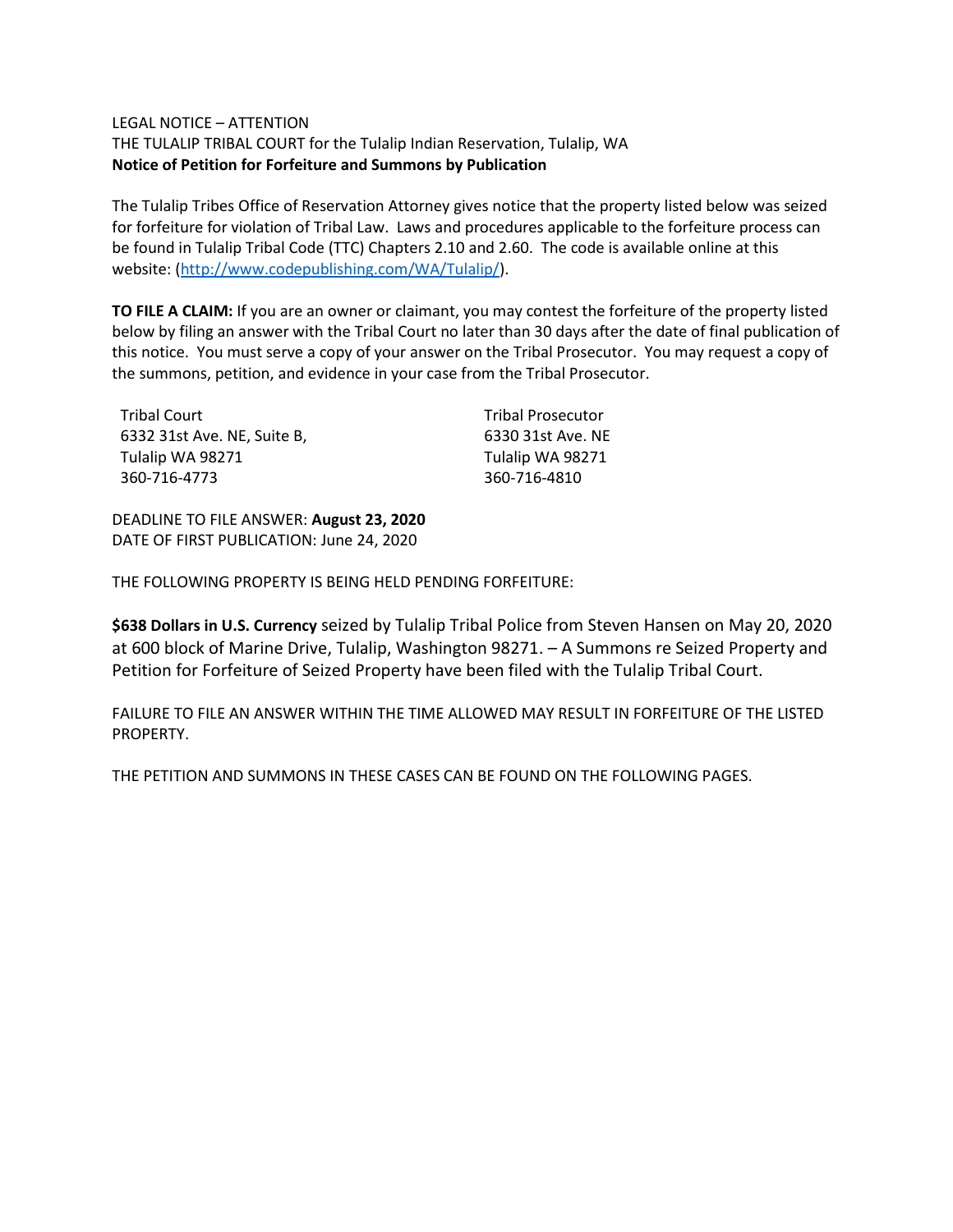### LEGAL NOTICE – ATTENTION

THE TULALIP TRIBAL COURT for the Tulalip Indian Reservation, Tulalip, WA **Notice of Petition for Forfeiture and Summons by Publication**

The Tulalip Tribes Office of Reservation Attorney gives notice that the property listed below was seized for forfeiture for violation of Tribal Law. Laws and procedures applicable to the forfeiture process can be found in Tulalip Tribal Code (TTC) Chapters 2.10 and 2.60. The code is available online at this website: [\(http://www.codepublishing.com/WA/Tulalip/\)](http://www.codepublishing.com/WA/Tulalip/).

**TO FILE A CLAIM:** If you are an owner or claimant, you may contest the forfeiture of the property listed below by filing an answer with the Tribal Court no later than 30 days after the date of final publication of this notice. You must serve a copy of your answer on the Tribal Prosecutor. You may request a copy of the summons, petition, and evidence in your case from the Tribal Prosecutor.

| Tribal Court                | <b>Tribal Prosecutor</b> |
|-----------------------------|--------------------------|
| 6332 31st Ave. NE, Suite B, | 6330 31st Ave. NE        |
| Tulalip WA 98271            | Tulalip WA 98271         |
| 360-716-4773                | 360-716-4810             |

DEADLINE TO FILE ANSWER: **August 23, 2020** DATE OF FIRST PUBLICATION: June 24, 2020

THE FOLLOWING PROPERTY IS BEING HELD PENDING FORFEITURE:

**\$638 Dollars in U.S. Currency** seized by Tulalip Tribal Police from Steven Hansen on May 20, 2020 at 600 block of Marine Drive, Tulalip, Washington 98271. – A Summons re Seized Property and Petition for Forfeiture of Seized Property have been filed with the Tulalip Tribal Court.

FAILURE TO FILE AN ANSWER WITHIN THE TIME ALLOWED MAY RESULT IN FORFEITURE OF THE LISTED PROPERTY.

THE PETITION AND SUMMONS IN THESE CASES CAN BE FOUND ON THE FOLLOWING PAGES.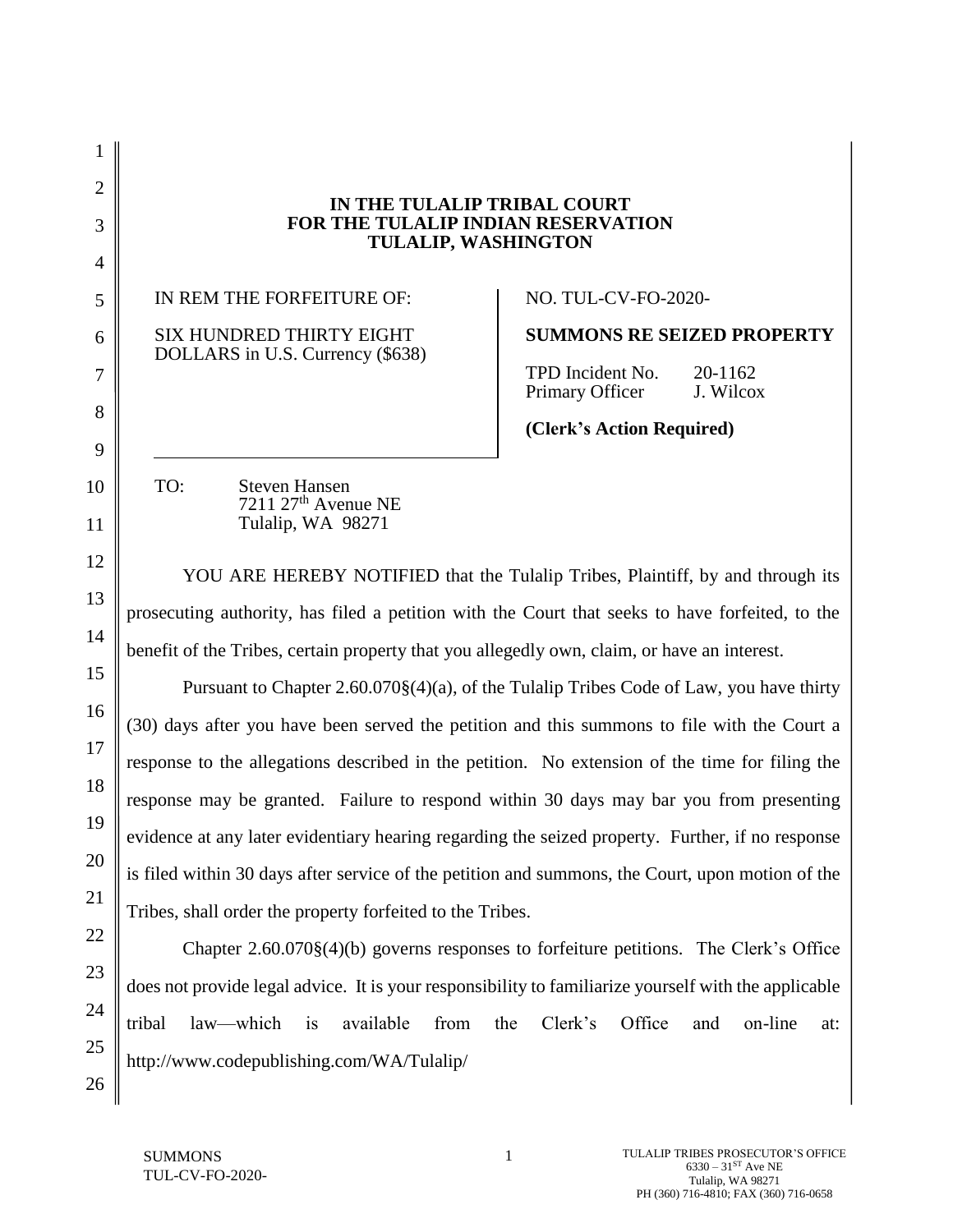2 3 4 5 6 7 8 9 10 11 12 13 14 15 16 17 18 19 20 21 22 23 24 25 **IN THE TULALIP TRIBAL COURT FOR THE TULALIP INDIAN RESERVATION TULALIP, WASHINGTON** IN REM THE FORFEITURE OF: SIX HUNDRED THIRTY EIGHT DOLLARS in U.S. Currency (\$638) NO. TUL-CV-FO-2020- **SUMMONS RE SEIZED PROPERTY** TPD Incident No. 20-1162 Primary Officer J. Wilcox **(Clerk's Action Required)** TO: Steven Hansen  $7211$   $27<sup>th</sup>$  Avenue NE Tulalip, WA 98271 YOU ARE HEREBY NOTIFIED that the Tulalip Tribes, Plaintiff, by and through its prosecuting authority, has filed a petition with the Court that seeks to have forfeited, to the benefit of the Tribes, certain property that you allegedly own, claim, or have an interest. Pursuant to Chapter 2.60.070§(4)(a), of the Tulalip Tribes Code of Law, you have thirty (30) days after you have been served the petition and this summons to file with the Court a response to the allegations described in the petition. No extension of the time for filing the response may be granted. Failure to respond within 30 days may bar you from presenting evidence at any later evidentiary hearing regarding the seized property. Further, if no response is filed within 30 days after service of the petition and summons, the Court, upon motion of the Tribes, shall order the property forfeited to the Tribes. Chapter 2.60.070§(4)(b) governs responses to forfeiture petitions. The Clerk's Office does not provide legal advice. It is your responsibility to familiarize yourself with the applicable tribal law—which is available from the Clerk's Office and on-line at: http://www.codepublishing.com/WA/Tulalip/

26

1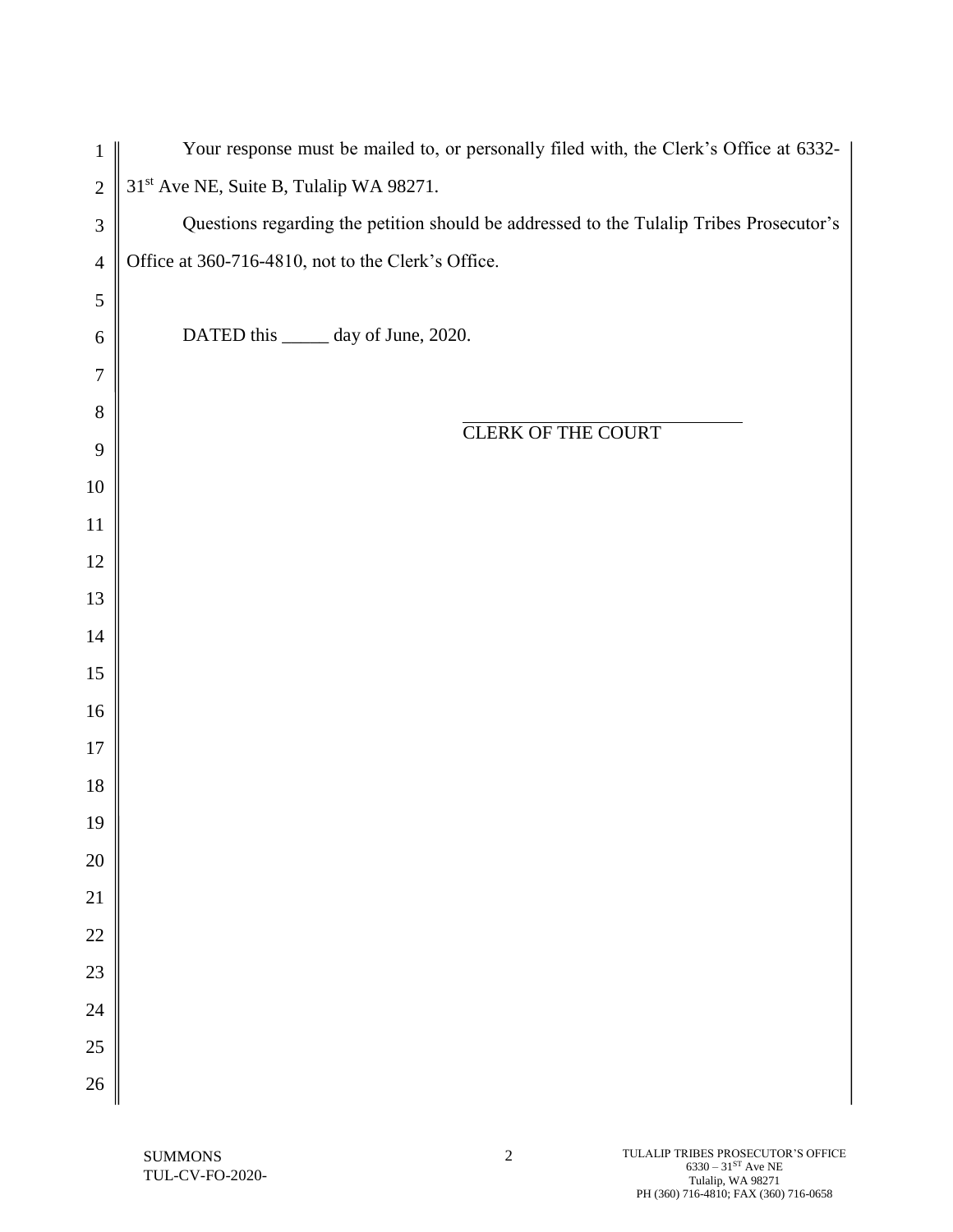| $\mathbf{1}$     | Your response must be mailed to, or personally filed with, the Clerk's Office at 6332-  |
|------------------|-----------------------------------------------------------------------------------------|
| $\overline{2}$   | 31 <sup>st</sup> Ave NE, Suite B, Tulalip WA 98271.                                     |
| $\mathfrak{Z}$   | Questions regarding the petition should be addressed to the Tulalip Tribes Prosecutor's |
| $\overline{4}$   | Office at 360-716-4810, not to the Clerk's Office.                                      |
| $\sqrt{5}$       |                                                                                         |
| $\boldsymbol{6}$ | DATED this ______ day of June, 2020.                                                    |
| $\tau$           |                                                                                         |
| $8\,$            | <b>CLERK OF THE COURT</b>                                                               |
| 9                |                                                                                         |
| $10\,$           |                                                                                         |
| 11               |                                                                                         |
| 12               |                                                                                         |
| 13               |                                                                                         |
| 14               |                                                                                         |
| 15               |                                                                                         |
| 16               |                                                                                         |
| $17\,$           |                                                                                         |
| $18\,$           |                                                                                         |
| 19               |                                                                                         |
| 20               |                                                                                         |
| 21               |                                                                                         |
| 22               |                                                                                         |
| 23               |                                                                                         |
| 24               |                                                                                         |
| 25               |                                                                                         |
| 26               |                                                                                         |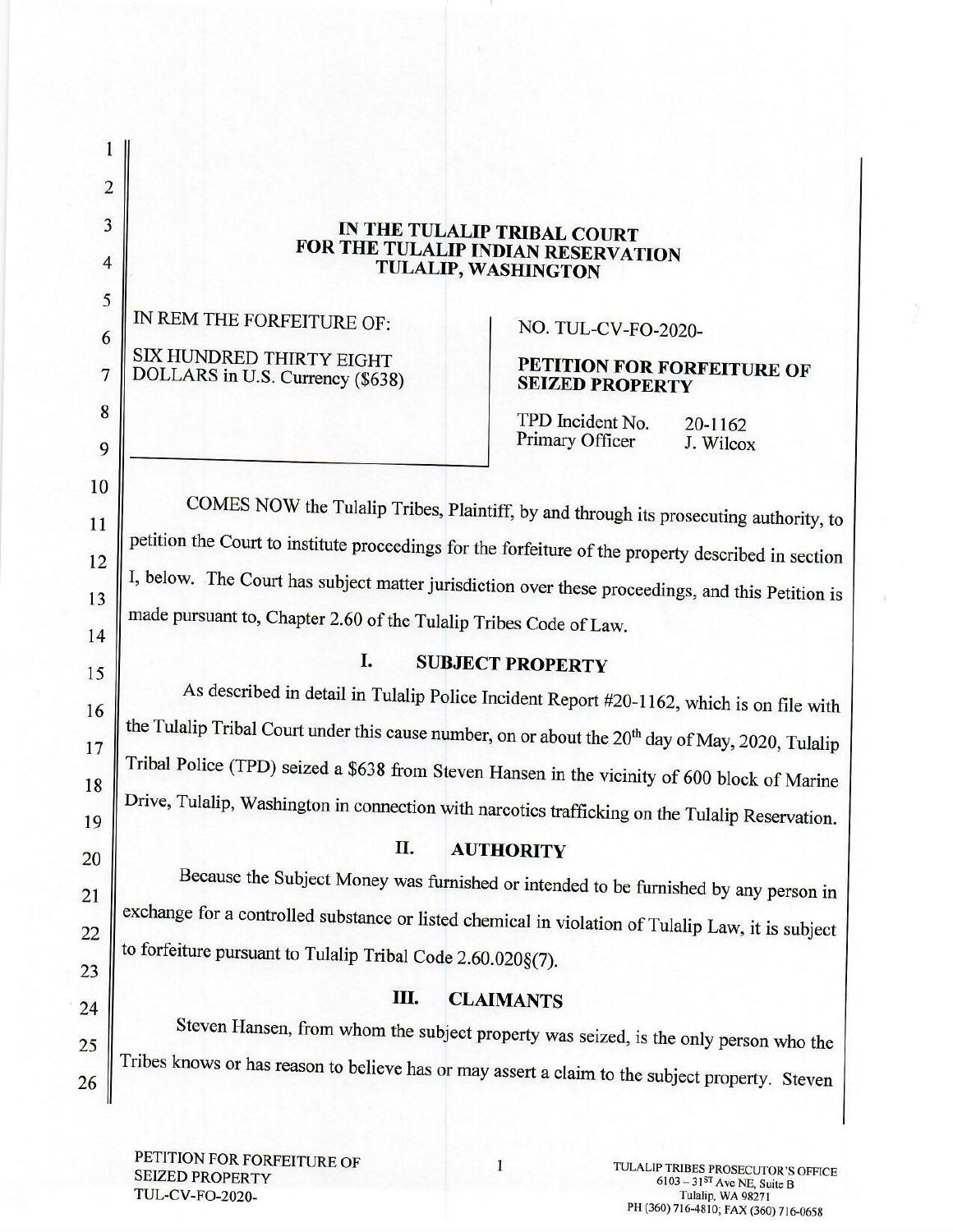| IN THE TULALIP TRIBAL COURT        |
|------------------------------------|
| FOR THE TULALIP INDIAN RESERVATION |
| TULALIP, WASHINGTON                |

IN REM THE FORFEITURE OF: SIX HUNDRED THIRTY EIGHT DOLLARS in U.S. Currency (\$638)

 $\mathbf{1}$ 

 $\overline{2}$ 

3

 $\overline{4}$ 

5

6

7

 $\bf 8$ 

9

10

11

12

13

14

15

16

17

18

19

20

21

22

23

24

25

26

# NO. TUL-CV-FO-2020-

## PETITION FOR FORFEITURE OF **SEIZED PROPERTY**

TPD Incident No. 20-1162 Primary Officer J. Wilcox

COMES NOW the Tulalip Tribes, Plaintiff, by and through its prosecuting authority, to petition the Court to institute proceedings for the forfeiture of the property described in section I, below. The Court has subject matter jurisdiction over these proceedings, and this Petition is made pursuant to, Chapter 2.60 of the Tulalip Tribes Code of Law.

#### I. **SUBJECT PROPERTY**

As described in detail in Tulalip Police Incident Report #20-1162, which is on file with the Tulalip Tribal Court under this cause number, on or about the 20<sup>th</sup> day of May, 2020, Tulalip Tribal Police (TPD) seized a \$638 from Steven Hansen in the vicinity of 600 block of Marine Drive, Tulalip, Washington in connection with narcotics trafficking on the Tulalip Reservation.

#### Π. **AUTHORITY**

Because the Subject Money was furnished or intended to be furnished by any person in exchange for a controlled substance or listed chemical in violation of Tulalip Law, it is subject to forfeiture pursuant to Tulalip Tribal Code 2.60.020§(7).

#### Ш. **CLAIMANTS**

Steven Hansen, from whom the subject property was seized, is the only person who the Tribes knows or has reason to believe has or may assert a claim to the subject property. Steven

PETITION FOR FORFEITURE OF **SEIZED PROPERTY TUL-CV-FO-2020-**